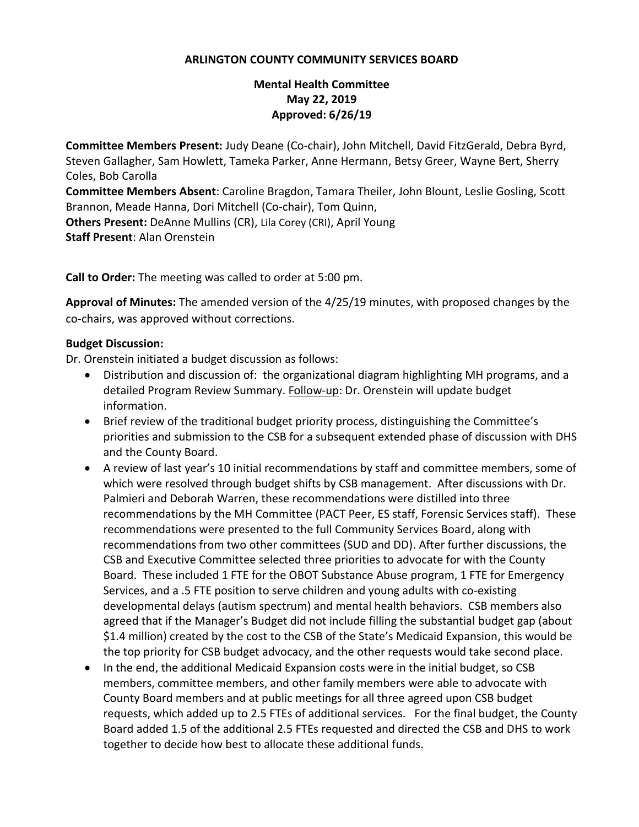## **ARLINGTON COUNTY COMMUNITY SERVICES BOARD**

## **Mental Health Committee May 22, 2019 Approved: 6/26/19**

**Committee Members Present:** Judy Deane (Co-chair), John Mitchell, David FitzGerald, Debra Byrd, Steven Gallagher, Sam Howlett, Tameka Parker, Anne Hermann, Betsy Greer, Wayne Bert, Sherry Coles, Bob Carolla

**Committee Members Absent**: Caroline Bragdon, Tamara Theiler, John Blount, Leslie Gosling, Scott Brannon, Meade Hanna, Dori Mitchell (Co-chair), Tom Quinn,

**Others Present:** DeAnne Mullins (CR), Lila Corey (CRI), April Young **Staff Present**: Alan Orenstein

**Call to Order:** The meeting was called to order at 5:00 pm.

**Approval of Minutes:** The amended version of the 4/25/19 minutes, with proposed changes by the co-chairs, was approved without corrections.

## **Budget Discussion:**

Dr. Orenstein initiated a budget discussion as follows:

- Distribution and discussion of: the organizational diagram highlighting MH programs, and a detailed Program Review Summary. Follow-up: Dr. Orenstein will update budget information.
- Brief review of the traditional budget priority process, distinguishing the Committee's priorities and submission to the CSB for a subsequent extended phase of discussion with DHS and the County Board.
- A review of last year's 10 initial recommendations by staff and committee members, some of which were resolved through budget shifts by CSB management. After discussions with Dr. Palmieri and Deborah Warren, these recommendations were distilled into three recommendations by the MH Committee (PACT Peer, ES staff, Forensic Services staff). These recommendations were presented to the full Community Services Board, along with recommendations from two other committees (SUD and DD). After further discussions, the CSB and Executive Committee selected three priorities to advocate for with the County Board. These included 1 FTE for the OBOT Substance Abuse program, 1 FTE for Emergency Services, and a .5 FTE position to serve children and young adults with co-existing developmental delays (autism spectrum) and mental health behaviors. CSB members also agreed that if the Manager's Budget did not include filling the substantial budget gap (about \$1.4 million) created by the cost to the CSB of the State's Medicaid Expansion, this would be the top priority for CSB budget advocacy, and the other requests would take second place.
- In the end, the additional Medicaid Expansion costs were in the initial budget, so CSB members, committee members, and other family members were able to advocate with County Board members and at public meetings for all three agreed upon CSB budget requests, which added up to 2.5 FTEs of additional services. For the final budget, the County Board added 1.5 of the additional 2.5 FTEs requested and directed the CSB and DHS to work together to decide how best to allocate these additional funds.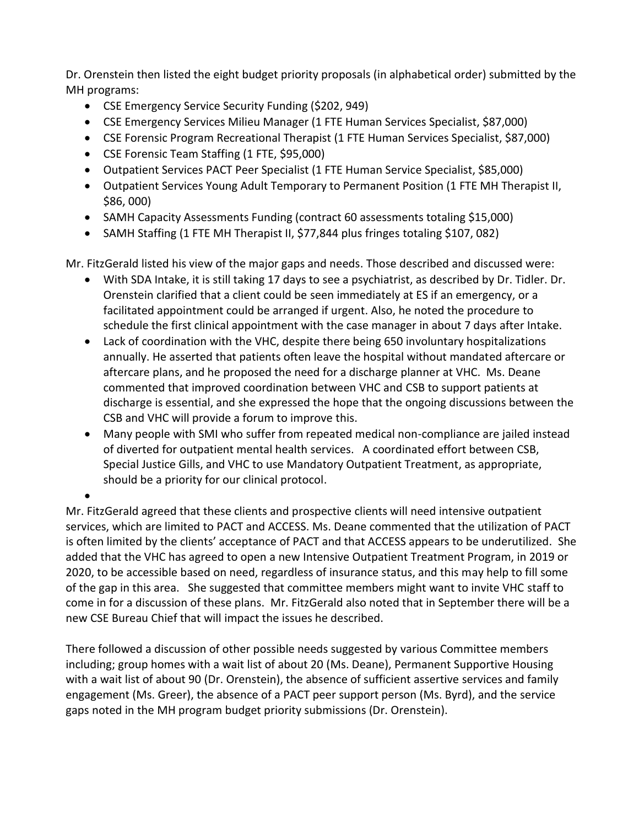Dr. Orenstein then listed the eight budget priority proposals (in alphabetical order) submitted by the MH programs:

- CSE Emergency Service Security Funding (\$202, 949)
- CSE Emergency Services Milieu Manager (1 FTE Human Services Specialist, \$87,000)
- CSE Forensic Program Recreational Therapist (1 FTE Human Services Specialist, \$87,000)
- CSE Forensic Team Staffing (1 FTE, \$95,000)
- Outpatient Services PACT Peer Specialist (1 FTE Human Service Specialist, \$85,000)
- Outpatient Services Young Adult Temporary to Permanent Position (1 FTE MH Therapist II, \$86, 000)
- SAMH Capacity Assessments Funding (contract 60 assessments totaling \$15,000)
- SAMH Staffing (1 FTE MH Therapist II, \$77,844 plus fringes totaling \$107,082)

Mr. FitzGerald listed his view of the major gaps and needs. Those described and discussed were:

- With SDA Intake, it is still taking 17 days to see a psychiatrist, as described by Dr. Tidler. Dr. Orenstein clarified that a client could be seen immediately at ES if an emergency, or a facilitated appointment could be arranged if urgent. Also, he noted the procedure to schedule the first clinical appointment with the case manager in about 7 days after Intake.
- Lack of coordination with the VHC, despite there being 650 involuntary hospitalizations annually. He asserted that patients often leave the hospital without mandated aftercare or aftercare plans, and he proposed the need for a discharge planner at VHC. Ms. Deane commented that improved coordination between VHC and CSB to support patients at discharge is essential, and she expressed the hope that the ongoing discussions between the CSB and VHC will provide a forum to improve this.
- Many people with SMI who suffer from repeated medical non-compliance are jailed instead of diverted for outpatient mental health services. A coordinated effort between CSB, Special Justice Gills, and VHC to use Mandatory Outpatient Treatment, as appropriate, should be a priority for our clinical protocol.

• Mr. FitzGerald agreed that these clients and prospective clients will need intensive outpatient services, which are limited to PACT and ACCESS. Ms. Deane commented that the utilization of PACT is often limited by the clients' acceptance of PACT and that ACCESS appears to be underutilized. She added that the VHC has agreed to open a new Intensive Outpatient Treatment Program, in 2019 or 2020, to be accessible based on need, regardless of insurance status, and this may help to fill some of the gap in this area. She suggested that committee members might want to invite VHC staff to come in for a discussion of these plans. Mr. FitzGerald also noted that in September there will be a new CSE Bureau Chief that will impact the issues he described.

There followed a discussion of other possible needs suggested by various Committee members including; group homes with a wait list of about 20 (Ms. Deane), Permanent Supportive Housing with a wait list of about 90 (Dr. Orenstein), the absence of sufficient assertive services and family engagement (Ms. Greer), the absence of a PACT peer support person (Ms. Byrd), and the service gaps noted in the MH program budget priority submissions (Dr. Orenstein).